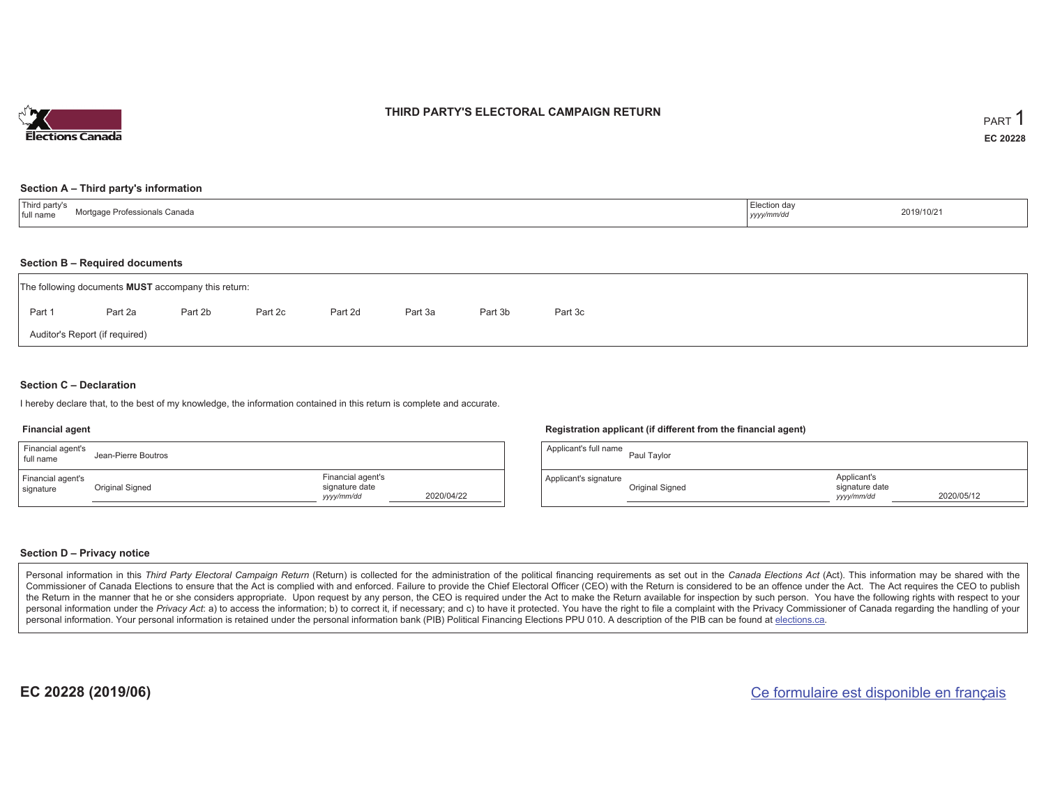

## **THIRD PARTY'S ELECTORAL CAMPAIGN RETURN**

#### **Section A – Third party's information**

| Third party's<br>Mortgage Professionals Canada<br>full name | Election day<br>yyyy/mm/dc | 2019/10/21 |
|-------------------------------------------------------------|----------------------------|------------|
|-------------------------------------------------------------|----------------------------|------------|

#### **Section B – Required documents**

|        | The following documents <b>MUST</b> accompany this return: |         |         |         |         |         |         |  |  |  |  |  |
|--------|------------------------------------------------------------|---------|---------|---------|---------|---------|---------|--|--|--|--|--|
| Part 1 | Part 2a                                                    | Part 2b | Part 2c | Part 2d | Part 3a | Part 3b | Part 3c |  |  |  |  |  |
|        | Auditor's Report (if required)                             |         |         |         |         |         |         |  |  |  |  |  |

### **Section C – Declaration**

I hereby declare that, to the best of my knowledge, the information contained in this return is complete and accurate.

#### **Financial agent**

| Financial agent's<br>full name | Jean-Pierre Boutros |                                                   |            | Applicant's full name | Paul Taylo  |
|--------------------------------|---------------------|---------------------------------------------------|------------|-----------------------|-------------|
| Financial agent's<br>signature | Original Signed     | Financial agent's<br>signature date<br>yyyy/mm/dd | 2020/04/22 | Applicant's signature | Original Si |

#### **Registration applicant (if different from the financial agent)**

| Applicant's full name | Paul Taylor     |                                             |            |
|-----------------------|-----------------|---------------------------------------------|------------|
| Applicant's signature | Original Signed | Applicant's<br>signature date<br>yyyy/mm/dd | 2020/05/12 |

#### **Section D – Privacy notice**

Personal information in this Third Party Electoral Campaign Return (Return) is collected for the administration of the political financing requirements as set out in the Canada Elections Act (Act). This information may be Commissioner of Canada Elections to ensure that the Act is complied with and enforced. Failure to provide the Chief Electoral Officer (CEO) with the Return is considered to be an offence under the Act. The Act requires the the Return in the manner that he or she considers appropriate. Upon request by any person, the CEO is required under the Act to make the Return available for inspection by such person. You have the following rights with re personal information under the Privacy Act: a) to access the information; b) to correct it, if necessary; and c) to have it protected. You have the right to file a complaint with the Privacy Commissioner of Canada regardin personal information. Your personal information is retained under the personal information bank (PIB) Political Financing Elections PPU 010. A description of the PIB can be found at elections.ca.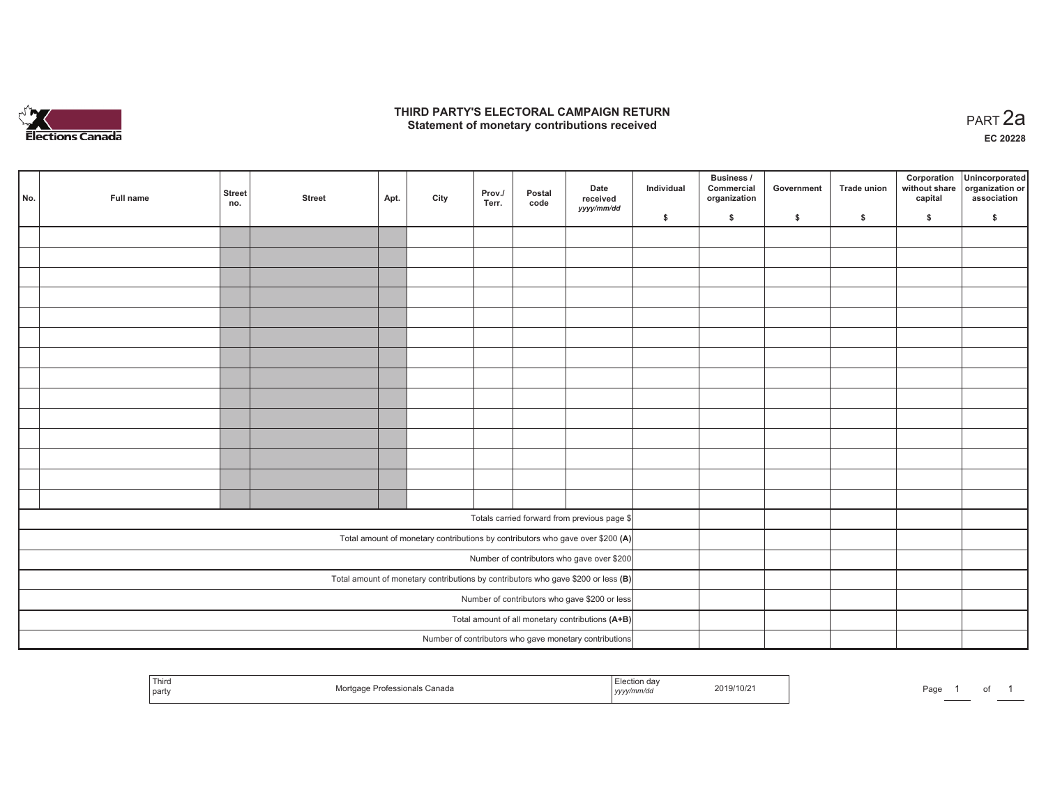

## **THIRD PARTY'S ELECTORAL CAMPAIGN RETURN HIRD PARTY'S ELECTORAL CAMPAIGN RETURN<br>Statement of monetary contributions received PART 2a**

**EC 20228**

| No.                                                                                 | Full name | <b>Street</b><br>no.                          | <b>Street</b> | Apt. | City | Prov./<br>Terr. | Postal<br>code | Date<br>received<br>yyyy/mm/dd                         | Individual | <b>Business /</b><br>Commercial<br>organization | Government | Trade union | Corporation<br>capital | Unincorporated<br>without share organization or<br>association |
|-------------------------------------------------------------------------------------|-----------|-----------------------------------------------|---------------|------|------|-----------------|----------------|--------------------------------------------------------|------------|-------------------------------------------------|------------|-------------|------------------------|----------------------------------------------------------------|
|                                                                                     |           |                                               |               |      |      |                 |                |                                                        | \$         | \$                                              | \$         | \$          | \$                     | \$                                                             |
|                                                                                     |           |                                               |               |      |      |                 |                |                                                        |            |                                                 |            |             |                        |                                                                |
|                                                                                     |           |                                               |               |      |      |                 |                |                                                        |            |                                                 |            |             |                        |                                                                |
|                                                                                     |           |                                               |               |      |      |                 |                |                                                        |            |                                                 |            |             |                        |                                                                |
|                                                                                     |           |                                               |               |      |      |                 |                |                                                        |            |                                                 |            |             |                        |                                                                |
|                                                                                     |           |                                               |               |      |      |                 |                |                                                        |            |                                                 |            |             |                        |                                                                |
|                                                                                     |           |                                               |               |      |      |                 |                |                                                        |            |                                                 |            |             |                        |                                                                |
|                                                                                     |           |                                               |               |      |      |                 |                |                                                        |            |                                                 |            |             |                        |                                                                |
|                                                                                     |           |                                               |               |      |      |                 |                |                                                        |            |                                                 |            |             |                        |                                                                |
|                                                                                     |           |                                               |               |      |      |                 |                |                                                        |            |                                                 |            |             |                        |                                                                |
|                                                                                     |           |                                               |               |      |      |                 |                |                                                        |            |                                                 |            |             |                        |                                                                |
|                                                                                     |           |                                               |               |      |      |                 |                |                                                        |            |                                                 |            |             |                        |                                                                |
|                                                                                     |           |                                               |               |      |      |                 |                |                                                        |            |                                                 |            |             |                        |                                                                |
|                                                                                     |           |                                               |               |      |      |                 |                |                                                        |            |                                                 |            |             |                        |                                                                |
|                                                                                     |           |                                               |               |      |      |                 |                |                                                        |            |                                                 |            |             |                        |                                                                |
|                                                                                     |           |                                               |               |      |      |                 |                |                                                        |            |                                                 |            |             |                        |                                                                |
| Totals carried forward from previous page \$                                        |           |                                               |               |      |      |                 |                |                                                        |            |                                                 |            |             |                        |                                                                |
| Total amount of monetary contributions by contributors who gave over \$200 (A)      |           |                                               |               |      |      |                 |                |                                                        |            |                                                 |            |             |                        |                                                                |
| Number of contributors who gave over \$200                                          |           |                                               |               |      |      |                 |                |                                                        |            |                                                 |            |             |                        |                                                                |
| Total amount of monetary contributions by contributors who gave \$200 or less $(B)$ |           |                                               |               |      |      |                 |                |                                                        |            |                                                 |            |             |                        |                                                                |
|                                                                                     |           | Number of contributors who gave \$200 or less |               |      |      |                 |                |                                                        |            |                                                 |            |             |                        |                                                                |
|                                                                                     |           |                                               |               |      |      |                 |                | Total amount of all monetary contributions (A+B)       |            |                                                 |            |             |                        |                                                                |
|                                                                                     |           |                                               |               |      |      |                 |                | Number of contributors who gave monetary contributions |            |                                                 |            |             |                        |                                                                |
|                                                                                     |           |                                               |               |      |      |                 |                |                                                        |            |                                                 |            |             |                        |                                                                |

| <sup>1</sup> Thira<br>fessionals Canada<br>party | n dav<br>2019/10/21<br>yyyy/mm/ao | Page |
|--------------------------------------------------|-----------------------------------|------|
|--------------------------------------------------|-----------------------------------|------|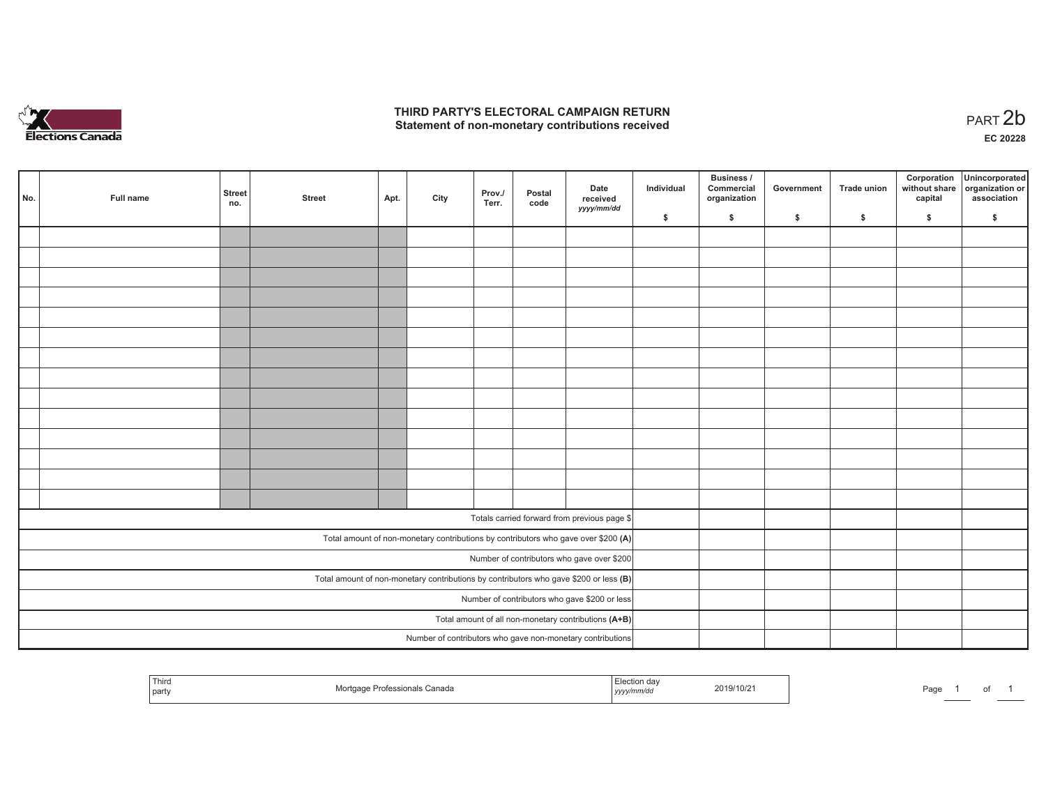

## **THIRD PARTY'S ELECTORAL CAMPAIGN RETURN**  THIRD PARTY'S ELECTORAL CAMPAIGN RETURN<br>Statement of non-monetary contributions received<br> **PART 2b**

of 1

| No.                                                                                     | Full name | <b>Street</b><br>no. | <b>Street</b>                                 | Apt. | City | Prov./<br>Terr. | Postal<br>code | Date<br>received<br>yyyy/mm/dd                                                                                                   | Individual | <b>Business /</b><br>Commercial<br>organization | Government | Trade union | Corporation<br>capital | Unincorporated<br>without share organization or<br>association |
|-----------------------------------------------------------------------------------------|-----------|----------------------|-----------------------------------------------|------|------|-----------------|----------------|----------------------------------------------------------------------------------------------------------------------------------|------------|-------------------------------------------------|------------|-------------|------------------------|----------------------------------------------------------------|
|                                                                                         |           |                      |                                               |      |      |                 |                |                                                                                                                                  | \$         | \$                                              | \$         | \$          | \$                     | \$                                                             |
|                                                                                         |           |                      |                                               |      |      |                 |                |                                                                                                                                  |            |                                                 |            |             |                        |                                                                |
|                                                                                         |           |                      |                                               |      |      |                 |                |                                                                                                                                  |            |                                                 |            |             |                        |                                                                |
|                                                                                         |           |                      |                                               |      |      |                 |                |                                                                                                                                  |            |                                                 |            |             |                        |                                                                |
|                                                                                         |           |                      |                                               |      |      |                 |                |                                                                                                                                  |            |                                                 |            |             |                        |                                                                |
|                                                                                         |           |                      |                                               |      |      |                 |                |                                                                                                                                  |            |                                                 |            |             |                        |                                                                |
|                                                                                         |           |                      |                                               |      |      |                 |                |                                                                                                                                  |            |                                                 |            |             |                        |                                                                |
|                                                                                         |           |                      |                                               |      |      |                 |                |                                                                                                                                  |            |                                                 |            |             |                        |                                                                |
|                                                                                         |           |                      |                                               |      |      |                 |                |                                                                                                                                  |            |                                                 |            |             |                        |                                                                |
|                                                                                         |           |                      |                                               |      |      |                 |                |                                                                                                                                  |            |                                                 |            |             |                        |                                                                |
|                                                                                         |           |                      |                                               |      |      |                 |                |                                                                                                                                  |            |                                                 |            |             |                        |                                                                |
|                                                                                         |           |                      |                                               |      |      |                 |                |                                                                                                                                  |            |                                                 |            |             |                        |                                                                |
|                                                                                         |           |                      |                                               |      |      |                 |                |                                                                                                                                  |            |                                                 |            |             |                        |                                                                |
|                                                                                         |           |                      |                                               |      |      |                 |                |                                                                                                                                  |            |                                                 |            |             |                        |                                                                |
|                                                                                         |           |                      |                                               |      |      |                 |                |                                                                                                                                  |            |                                                 |            |             |                        |                                                                |
|                                                                                         |           |                      |                                               |      |      |                 |                | Totals carried forward from previous page \$                                                                                     |            |                                                 |            |             |                        |                                                                |
|                                                                                         |           |                      |                                               |      |      |                 |                |                                                                                                                                  |            |                                                 |            |             |                        |                                                                |
|                                                                                         |           |                      |                                               |      |      |                 |                | Total amount of non-monetary contributions by contributors who gave over \$200 (A)<br>Number of contributors who gave over \$200 |            |                                                 |            |             |                        |                                                                |
|                                                                                         |           |                      |                                               |      |      |                 |                |                                                                                                                                  |            |                                                 |            |             |                        |                                                                |
| Total amount of non-monetary contributions by contributors who gave \$200 or less $(B)$ |           |                      |                                               |      |      |                 |                |                                                                                                                                  |            |                                                 |            |             |                        |                                                                |
|                                                                                         |           |                      | Number of contributors who gave \$200 or less |      |      |                 |                |                                                                                                                                  |            |                                                 |            |             |                        |                                                                |
|                                                                                         |           |                      |                                               |      |      |                 |                | Total amount of all non-monetary contributions (A+B)                                                                             |            |                                                 |            |             |                        |                                                                |
|                                                                                         |           |                      |                                               |      |      |                 |                | Number of contributors who gave non-monetary contributions                                                                       |            |                                                 |            |             |                        |                                                                |

| ' Thira<br>party | ofessionals Canada | <sup>—•∽•tíon dav</sup><br>.<br>, , yyy/mm/dr <sup>i</sup> | 2019/10/21<br>the contract of the contract of the contract of | Page | ____ |
|------------------|--------------------|------------------------------------------------------------|---------------------------------------------------------------|------|------|
|------------------|--------------------|------------------------------------------------------------|---------------------------------------------------------------|------|------|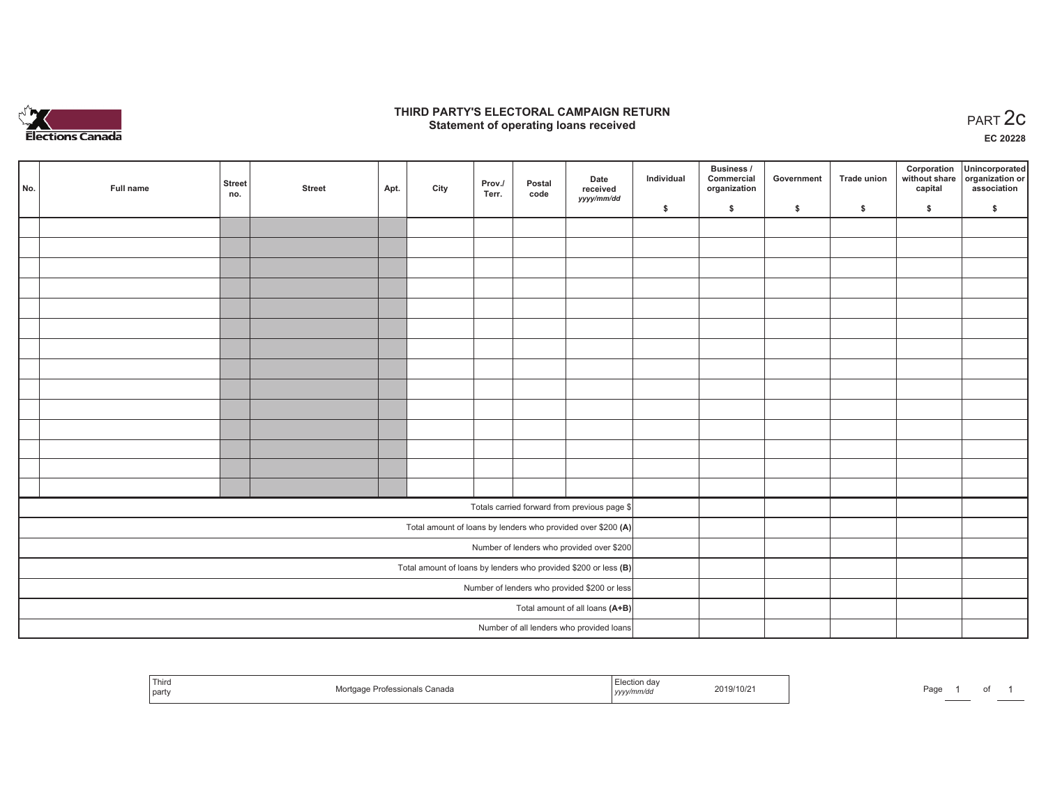

## **THIRD PARTY'S ELECTORAL CAMPAIGN RETURN STATE:** PARTY'S ELECTORAL CAMPAIGN RETURN<br>
Statement of operating loans received

**EC 20228**

|                                              |                                                              |                                                                   |               |      |      |                 |                |                                          |            | Business /                 |            |                    | Corporation | Unincorporated                               |
|----------------------------------------------|--------------------------------------------------------------|-------------------------------------------------------------------|---------------|------|------|-----------------|----------------|------------------------------------------|------------|----------------------------|------------|--------------------|-------------|----------------------------------------------|
| No.                                          | Full name                                                    | <b>Street</b><br>no.                                              | <b>Street</b> | Apt. | City | Prov./<br>Terr. | Postal<br>code | Date<br>received                         | Individual | Commercial<br>organization | Government | <b>Trade union</b> | capital     | without share organization or<br>association |
|                                              |                                                              |                                                                   |               |      |      |                 |                | yyyy/mm/dd                               | \$         | \$                         | \$         | $\sqrt{2}$         | \$          | \$                                           |
|                                              |                                                              |                                                                   |               |      |      |                 |                |                                          |            |                            |            |                    |             |                                              |
|                                              |                                                              |                                                                   |               |      |      |                 |                |                                          |            |                            |            |                    |             |                                              |
|                                              |                                                              |                                                                   |               |      |      |                 |                |                                          |            |                            |            |                    |             |                                              |
|                                              |                                                              |                                                                   |               |      |      |                 |                |                                          |            |                            |            |                    |             |                                              |
|                                              |                                                              |                                                                   |               |      |      |                 |                |                                          |            |                            |            |                    |             |                                              |
|                                              |                                                              |                                                                   |               |      |      |                 |                |                                          |            |                            |            |                    |             |                                              |
|                                              |                                                              |                                                                   |               |      |      |                 |                |                                          |            |                            |            |                    |             |                                              |
|                                              |                                                              |                                                                   |               |      |      |                 |                |                                          |            |                            |            |                    |             |                                              |
|                                              |                                                              |                                                                   |               |      |      |                 |                |                                          |            |                            |            |                    |             |                                              |
|                                              |                                                              |                                                                   |               |      |      |                 |                |                                          |            |                            |            |                    |             |                                              |
|                                              |                                                              |                                                                   |               |      |      |                 |                |                                          |            |                            |            |                    |             |                                              |
|                                              |                                                              |                                                                   |               |      |      |                 |                |                                          |            |                            |            |                    |             |                                              |
|                                              |                                                              |                                                                   |               |      |      |                 |                |                                          |            |                            |            |                    |             |                                              |
|                                              |                                                              |                                                                   |               |      |      |                 |                |                                          |            |                            |            |                    |             |                                              |
| Totals carried forward from previous page \$ |                                                              |                                                                   |               |      |      |                 |                |                                          |            |                            |            |                    |             |                                              |
|                                              | Total amount of loans by lenders who provided over \$200 (A) |                                                                   |               |      |      |                 |                |                                          |            |                            |            |                    |             |                                              |
|                                              | Number of lenders who provided over \$200                    |                                                                   |               |      |      |                 |                |                                          |            |                            |            |                    |             |                                              |
|                                              |                                                              | Total amount of loans by lenders who provided \$200 or less $(B)$ |               |      |      |                 |                |                                          |            |                            |            |                    |             |                                              |
| Number of lenders who provided \$200 or less |                                                              |                                                                   |               |      |      |                 |                |                                          |            |                            |            |                    |             |                                              |
|                                              |                                                              |                                                                   |               |      |      |                 |                | Total amount of all loans (A+B)          |            |                            |            |                    |             |                                              |
|                                              |                                                              |                                                                   |               |      |      |                 |                | Number of all lenders who provided loans |            |                            |            |                    |             |                                              |

| 1 ULLO<br>part | essionals Canada | yyyy/mm/dd | 2019/10/21 | Page |  |  |  |
|----------------|------------------|------------|------------|------|--|--|--|
|----------------|------------------|------------|------------|------|--|--|--|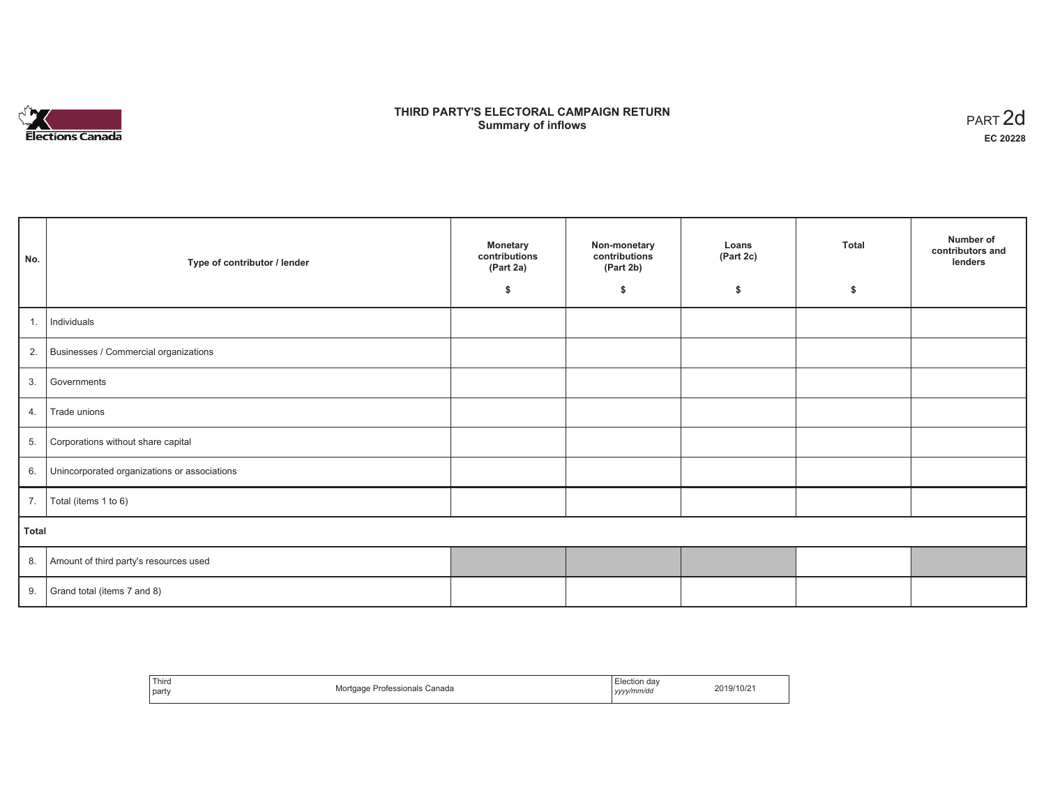

# **THIRD PARTY'S ELECTORAL CAMPAIGN RETURN S** ELECTORAL CAMPAIGN RETURN<br>Summary of inflows PART 2d

| No.   | Type of contributor / lender                    | <b>Monetary</b><br>contributions<br>(Part 2a)<br>\$ | Non-monetary<br>contributions<br>(Part 2b)<br>\$ | Loans<br>(Part 2c)<br>\$ | <b>Total</b><br>\$ | Number of<br>contributors and<br>lenders |
|-------|-------------------------------------------------|-----------------------------------------------------|--------------------------------------------------|--------------------------|--------------------|------------------------------------------|
| 1.    | Individuals                                     |                                                     |                                                  |                          |                    |                                          |
|       | 2. Businesses / Commercial organizations        |                                                     |                                                  |                          |                    |                                          |
|       | 3. Governments                                  |                                                     |                                                  |                          |                    |                                          |
| 4.    | Trade unions                                    |                                                     |                                                  |                          |                    |                                          |
| 5.    | Corporations without share capital              |                                                     |                                                  |                          |                    |                                          |
|       | 6. Unincorporated organizations or associations |                                                     |                                                  |                          |                    |                                          |
| 7.    | Total (items 1 to 6)                            |                                                     |                                                  |                          |                    |                                          |
| Total |                                                 |                                                     |                                                  |                          |                    |                                          |
|       | 8. Amount of third party's resources used       |                                                     |                                                  |                          |                    |                                          |
|       | 9. Grand total (items $7$ and $8$ )             |                                                     |                                                  |                          |                    |                                          |

| Third<br>party | Mortgage Professionals Canada | Election dav<br>yyyy/mm/dd | 2019/10/21 |
|----------------|-------------------------------|----------------------------|------------|
|----------------|-------------------------------|----------------------------|------------|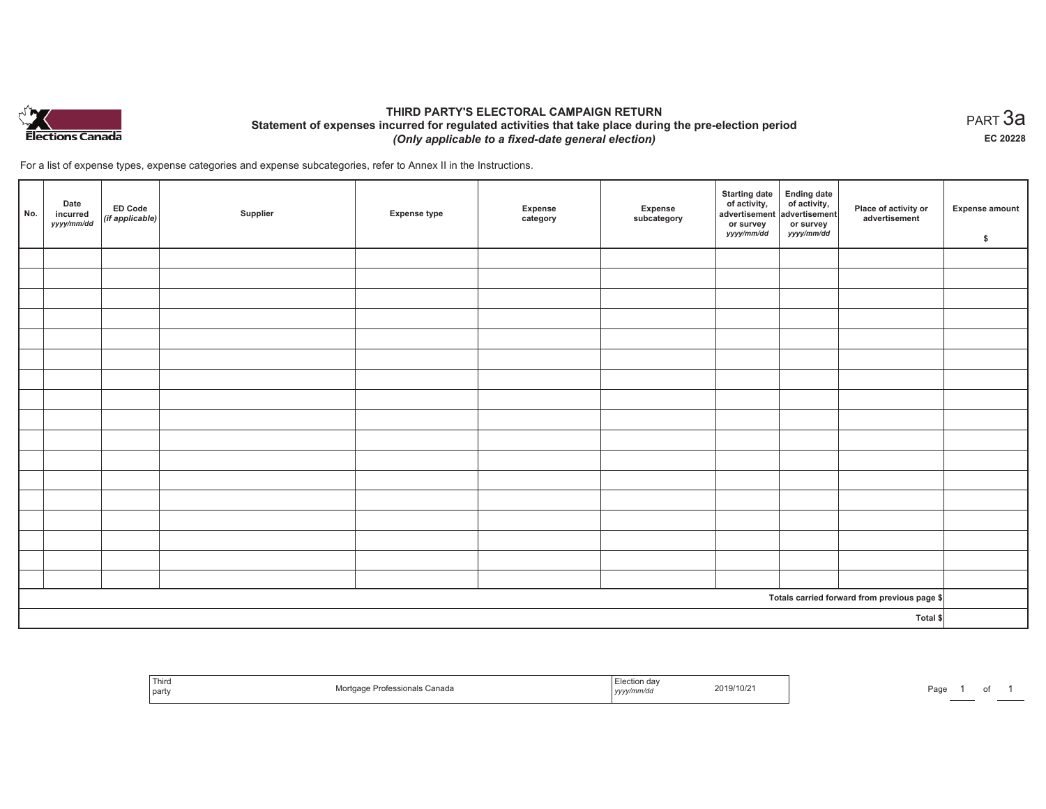

## **THIRD PARTY'S ELECTORAL CAMPAIGN RETURN Statement of expenses incurred for regulated activities that take place during the pre-election period**  *(Only applicable to a fixed-date general election)*

For a list of expense types, expense categories and expense subcategories, refer to Annex II in the Instructions.

| No. | Date<br>incurred<br>yyyy/mm/dd | <b>ED Code</b><br>$($ if applicable $)$ | Supplier | <b>Expense type</b> | Expense<br>category | Expense<br>subcategory | <b>Starting date</b><br>of activity,<br>advertisement<br>or survey<br>yyyy/mm/dd | Ending date<br>of activity,<br>advertisement<br>or survey<br>yyyy/mm/dd | Place of activity or<br>advertisement        | <b>Expense amount</b><br>\$ |
|-----|--------------------------------|-----------------------------------------|----------|---------------------|---------------------|------------------------|----------------------------------------------------------------------------------|-------------------------------------------------------------------------|----------------------------------------------|-----------------------------|
|     |                                |                                         |          |                     |                     |                        |                                                                                  |                                                                         |                                              |                             |
|     |                                |                                         |          |                     |                     |                        |                                                                                  |                                                                         |                                              |                             |
|     |                                |                                         |          |                     |                     |                        |                                                                                  |                                                                         |                                              |                             |
|     |                                |                                         |          |                     |                     |                        |                                                                                  |                                                                         |                                              |                             |
|     |                                |                                         |          |                     |                     |                        |                                                                                  |                                                                         |                                              |                             |
|     |                                |                                         |          |                     |                     |                        |                                                                                  |                                                                         |                                              |                             |
|     |                                |                                         |          |                     |                     |                        |                                                                                  |                                                                         |                                              |                             |
|     |                                |                                         |          |                     |                     |                        |                                                                                  |                                                                         |                                              |                             |
|     |                                |                                         |          |                     |                     |                        |                                                                                  |                                                                         |                                              |                             |
|     |                                |                                         |          |                     |                     |                        |                                                                                  |                                                                         |                                              |                             |
|     |                                |                                         |          |                     |                     |                        |                                                                                  |                                                                         |                                              |                             |
|     |                                |                                         |          |                     |                     |                        |                                                                                  |                                                                         |                                              |                             |
|     |                                |                                         |          |                     |                     |                        |                                                                                  |                                                                         |                                              |                             |
|     |                                |                                         |          |                     |                     |                        |                                                                                  |                                                                         |                                              |                             |
|     |                                |                                         |          |                     |                     |                        |                                                                                  |                                                                         |                                              |                             |
|     |                                |                                         |          |                     |                     |                        |                                                                                  |                                                                         |                                              |                             |
|     |                                |                                         |          |                     |                     |                        |                                                                                  |                                                                         |                                              |                             |
|     |                                |                                         |          |                     |                     |                        |                                                                                  |                                                                         | Totals carried forward from previous page \$ |                             |
|     |                                |                                         |          |                     |                     |                        |                                                                                  |                                                                         | Total \$                                     |                             |

| Third<br>part | *≏ssionals Canada | .<br>yyyy/mm/ <sup>,</sup> | 2019/10/21 | Page |  |  |
|---------------|-------------------|----------------------------|------------|------|--|--|
|---------------|-------------------|----------------------------|------------|------|--|--|

 $_{\sf PART}$ 3a **EC 20228**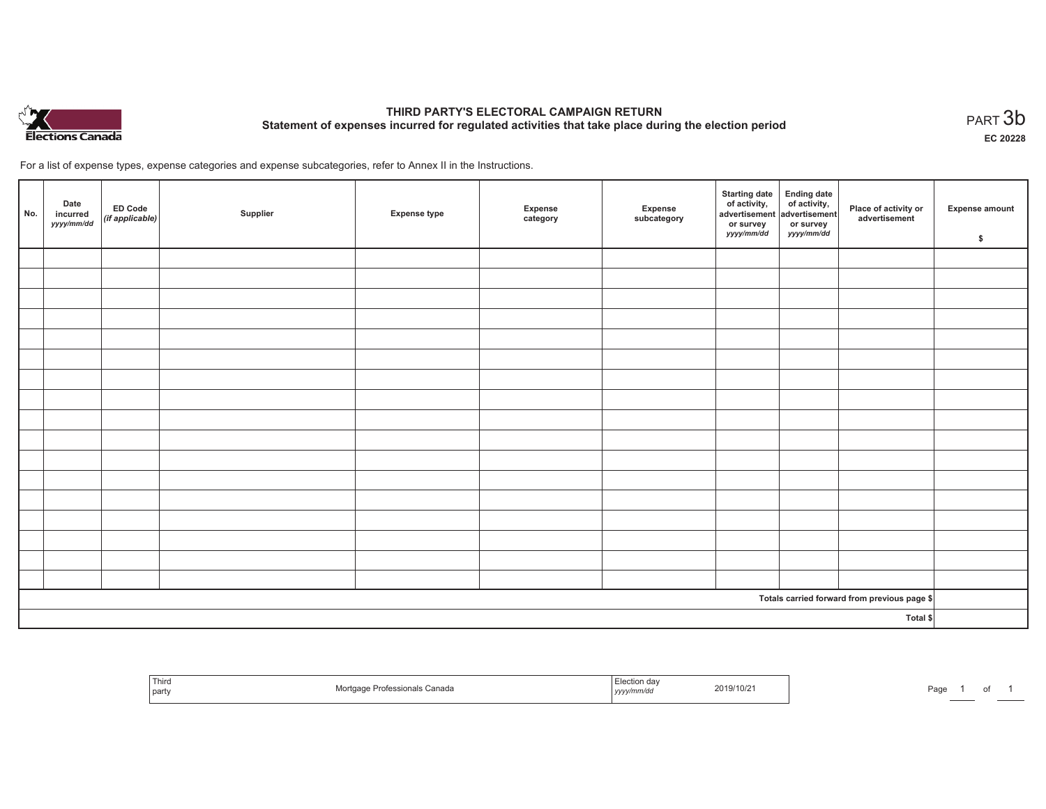

# **THIRD PARTY'S ELECTORAL CAMPAIGN RETURN Statement of expenses incurred for regulated activities that take place during the election period**<br>PART  $3b$

**EC 20228**

For a list of expense types, expense categories and expense subcategories, refer to Annex II in the Instructions.

| No.      | Date<br>incurred<br>yyyy/mm/dd | ED Code<br>(if applicable) | Supplier | <b>Expense type</b> | Expense<br>category | Expense<br>subcategory | Starting date Ending date<br>of activity, of activity,<br>advertisement advertisement<br>or survey<br>yyyy/mm/dd | or survey<br><i>yyyy/mm/dd</i> | Place of activity or<br>advertisement        | <b>Expense amount</b><br>\$ |
|----------|--------------------------------|----------------------------|----------|---------------------|---------------------|------------------------|------------------------------------------------------------------------------------------------------------------|--------------------------------|----------------------------------------------|-----------------------------|
|          |                                |                            |          |                     |                     |                        |                                                                                                                  |                                |                                              |                             |
|          |                                |                            |          |                     |                     |                        |                                                                                                                  |                                |                                              |                             |
|          |                                |                            |          |                     |                     |                        |                                                                                                                  |                                |                                              |                             |
|          |                                |                            |          |                     |                     |                        |                                                                                                                  |                                |                                              |                             |
|          |                                |                            |          |                     |                     |                        |                                                                                                                  |                                |                                              |                             |
|          |                                |                            |          |                     |                     |                        |                                                                                                                  |                                |                                              |                             |
|          |                                |                            |          |                     |                     |                        |                                                                                                                  |                                |                                              |                             |
|          |                                |                            |          |                     |                     |                        |                                                                                                                  |                                |                                              |                             |
|          |                                |                            |          |                     |                     |                        |                                                                                                                  |                                |                                              |                             |
|          |                                |                            |          |                     |                     |                        |                                                                                                                  |                                |                                              |                             |
|          |                                |                            |          |                     |                     |                        |                                                                                                                  |                                |                                              |                             |
|          |                                |                            |          |                     |                     |                        |                                                                                                                  |                                |                                              |                             |
|          |                                |                            |          |                     |                     |                        |                                                                                                                  |                                |                                              |                             |
|          |                                |                            |          |                     |                     |                        |                                                                                                                  |                                |                                              |                             |
|          |                                |                            |          |                     |                     |                        |                                                                                                                  |                                |                                              |                             |
|          |                                |                            |          |                     |                     |                        |                                                                                                                  |                                |                                              |                             |
|          |                                |                            |          |                     |                     |                        |                                                                                                                  |                                |                                              |                             |
|          |                                |                            |          |                     |                     |                        |                                                                                                                  |                                | Totals carried forward from previous page \$ |                             |
| Total \$ |                                |                            |          |                     |                     |                        |                                                                                                                  |                                |                                              |                             |

| Third<br>  party | <sup>:</sup> ≏nals Canada | Tection .<br>, уууулттичи | 2019/10/2 | Page |  | . |  |
|------------------|---------------------------|---------------------------|-----------|------|--|---|--|
|------------------|---------------------------|---------------------------|-----------|------|--|---|--|